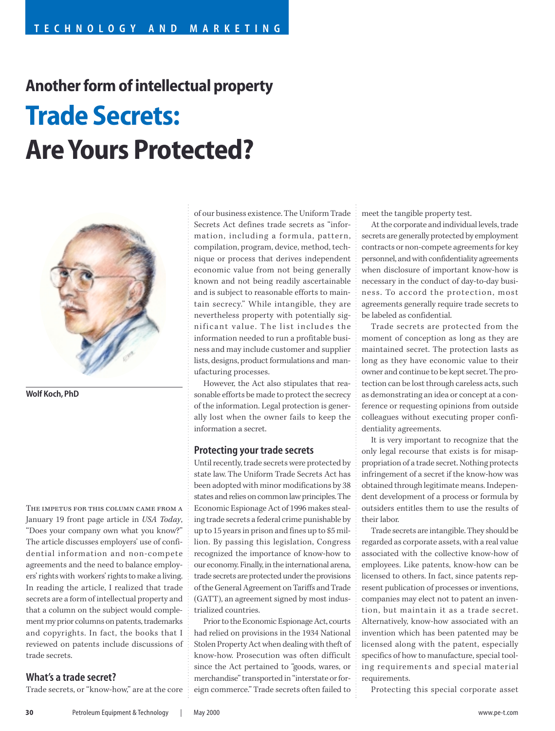# **Another form of intellectual property Trade Secrets: Are Yours Protected?**



**Wolf Koch, PhD**

The impetus for this column came from a January 19 front page article in *USA Today*, "Does your company own what you know?" The article discusses employers' use of confidential information and non-compete agreements and the need to balance employers' rights with workers' rights to make a living. In reading the article, I realized that trade secrets are a form of intellectual property and that a column on the subject would complement my prior columns on patents, trademarks and copyrights. In fact, the books that I reviewed on patents include discussions of trade secrets.

## **What's a trade secret?**

Trade secrets, or "know-how," are at the core

of our business existence. The Uniform Trade Secrets Act defines trade secrets as "information, including a formula, pattern, compilation, program, device, method, technique or process that derives independent economic value from not being generally known and not being readily ascertainable and is subject to reasonable efforts to maintain secrecy." While intangible, they are nevertheless property with potentially significant value. The list includes the information needed to run a profitable business and may include customer and supplier lists, designs, product formulations and manufacturing processes.

However, the Act also stipulates that reasonable efforts be made to protect the secrecy of the information. Legal protection is generally lost when the owner fails to keep the information a secret.

#### **Protecting your trade secrets**

Until recently, trade secrets were protected by state law. The Uniform Trade Secrets Act has been adopted with minor modifications by 38 states and relies on common law principles. The Economic Espionage Act of 1996 makes stealing trade secrets a federal crime punishable by up to 15 years in prison and fines up to \$5 million. By passing this legislation, Congress recognized the importance of know-how to our economy. Finally, in the international arena, trade secrets are protected under the provisions of the General Agreement on Tariffs and Trade (GATT), an agreement signed by most industrialized countries.

Prior to the Economic Espionage Act, courts had relied on provisions in the 1934 National Stolen Property Act when dealing with theft of know-how. Prosecution was often difficult since the Act pertained to "goods, wares, or merchandise" transported in "interstate or foreign commerce." Trade secrets often failed to meet the tangible property test.

At the corporate and individual levels, trade secrets are generally protected by employment contracts or non-compete agreements for key personnel, and with confidentiality agreements when disclosure of important know-how is necessary in the conduct of day-to-day business. To accord the protection, most agreements generally require trade secrets to be labeled as confidential.

Trade secrets are protected from the moment of conception as long as they are maintained secret. The protection lasts as long as they have economic value to their owner and continue to be kept secret. The protection can be lost through careless acts, such as demonstrating an idea or concept at a conference or requesting opinions from outside colleagues without executing proper confidentiality agreements.

It is very important to recognize that the only legal recourse that exists is for misappropriation of a trade secret. Nothing protects infringement of a secret if the know-how was obtained through legitimate means. Independent development of a process or formula by outsiders entitles them to use the results of their labor.

Trade secrets are intangible. They should be regarded as corporate assets, with a real value associated with the collective know-how of employees. Like patents, know-how can be licensed to others. In fact, since patents represent publication of processes or inventions, companies may elect not to patent an invention, but maintain it as a trade secret. Alternatively, know-how associated with an invention which has been patented may be licensed along with the patent, especially specifics of how to manufacture, special tooling requirements and special material requirements.

Protecting this special corporate asset